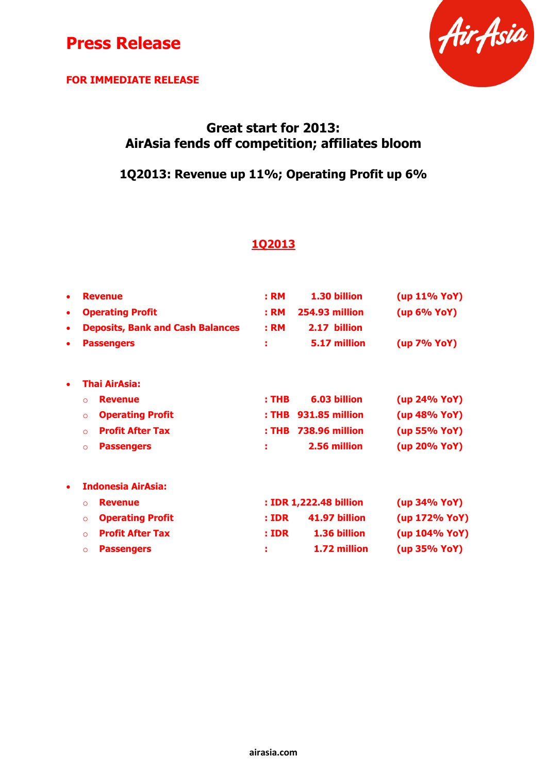#### **FOR IMMEDIATE RELEASE**



### **Great start for 2013: AirAsia fends off competition; affiliates bloom**

**1Q2013: Revenue up 11%; Operating Profit up 6%**

### **1Q2013**

| ٠         | <b>Revenue</b>                          | : <b>RM</b><br>1.30 billion   | (up 11% YoY)  |
|-----------|-----------------------------------------|-------------------------------|---------------|
| $\bullet$ | <b>Operating Profit</b>                 | 254.93 million<br>: RM        | (up 6% YoY)   |
| $\bullet$ | <b>Deposits, Bank and Cash Balances</b> | 2.17 billion<br>: <b>RM</b>   |               |
| $\bullet$ | <b>Passengers</b>                       | 5.17 million<br>÷             | (up 7% YoY)   |
|           | <b>Thai AirAsia:</b>                    |                               |               |
|           | <b>Revenue</b><br>$\Omega$              | 6.03 billion<br>$:$ THB       | (up 24% YoY)  |
|           | <b>Operating Profit</b><br>$\circ$      | 931.85 million<br>: THB       | (up 48% YoY)  |
|           | <b>Profit After Tax</b><br>$\Omega$     | : THB 738.96 million          | (up 55% YoY)  |
|           | <b>Passengers</b><br>$\circ$            | 2.56 million<br>÷             | (up 20% YoY)  |
|           | <b>Indonesia AirAsia:</b>               |                               |               |
|           | <b>Revenue</b><br>$\Omega$              | : IDR 1,222.48 billion        | (up 34% YoY)  |
|           | <b>Operating Profit</b><br>$\circ$      | 41.97 billion<br>: <b>IDR</b> | (up 172% YoY) |
|           | <b>Profit After Tax</b><br>$\Omega$     | 1.36 billion<br>: <b>IDR</b>  | (up 104% YoY) |
|           | <b>Passengers</b><br>$\Omega$           | 1.72 million<br>t             | (up 35% YoY)  |
|           |                                         |                               |               |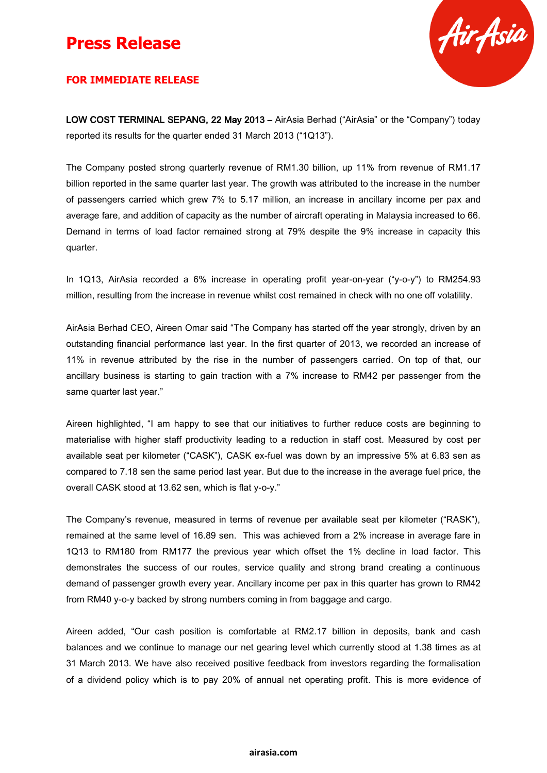

#### **FOR IMMEDIATE RELEASE**

LOW COST TERMINAL SEPANG, 22 May 2013 – AirAsia Berhad ("AirAsia" or the "Company") today reported its results for the quarter ended 31 March 2013 ("1Q13").

The Company posted strong quarterly revenue of RM1.30 billion, up 11% from revenue of RM1.17 billion reported in the same quarter last year. The growth was attributed to the increase in the number of passengers carried which grew 7% to 5.17 million, an increase in ancillary income per pax and average fare, and addition of capacity as the number of aircraft operating in Malaysia increased to 66. Demand in terms of load factor remained strong at 79% despite the 9% increase in capacity this quarter.

In 1Q13, AirAsia recorded a 6% increase in operating profit year-on-year ("y-o-y") to RM254.93 million, resulting from the increase in revenue whilst cost remained in check with no one off volatility.

AirAsia Berhad CEO, Aireen Omar said "The Company has started off the year strongly, driven by an outstanding financial performance last year. In the first quarter of 2013, we recorded an increase of 11% in revenue attributed by the rise in the number of passengers carried. On top of that, our ancillary business is starting to gain traction with a 7% increase to RM42 per passenger from the same quarter last year."

Aireen highlighted, "I am happy to see that our initiatives to further reduce costs are beginning to materialise with higher staff productivity leading to a reduction in staff cost. Measured by cost per available seat per kilometer ("CASK"), CASK ex-fuel was down by an impressive 5% at 6.83 sen as compared to 7.18 sen the same period last year. But due to the increase in the average fuel price, the overall CASK stood at 13.62 sen, which is flat y-o-y."

The Company's revenue, measured in terms of revenue per available seat per kilometer ("RASK"), remained at the same level of 16.89 sen. This was achieved from a 2% increase in average fare in 1Q13 to RM180 from RM177 the previous year which offset the 1% decline in load factor. This demonstrates the success of our routes, service quality and strong brand creating a continuous demand of passenger growth every year. Ancillary income per pax in this quarter has grown to RM42 from RM40 y-o-y backed by strong numbers coming in from baggage and cargo.

Aireen added, "Our cash position is comfortable at RM2.17 billion in deposits, bank and cash balances and we continue to manage our net gearing level which currently stood at 1.38 times as at 31 March 2013. We have also received positive feedback from investors regarding the formalisation of a dividend policy which is to pay 20% of annual net operating profit. This is more evidence of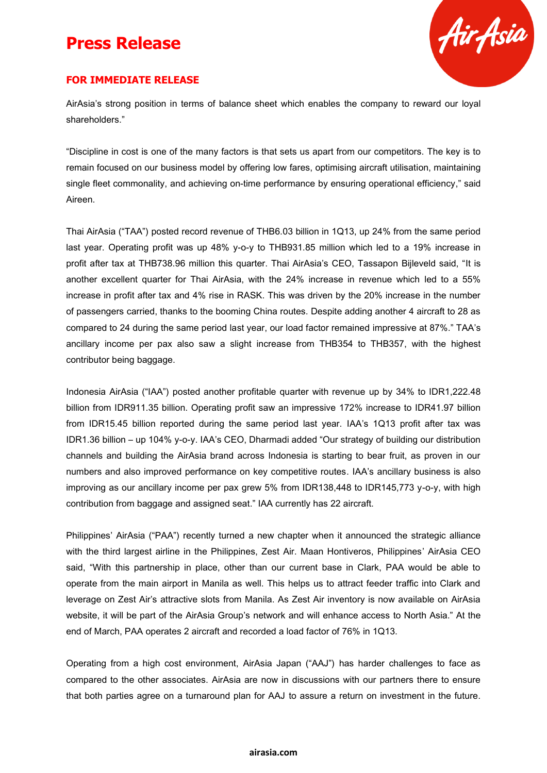

#### **FOR IMMEDIATE RELEASE**

AirAsia's strong position in terms of balance sheet which enables the company to reward our loyal shareholders."

"Discipline in cost is one of the many factors is that sets us apart from our competitors. The key is to remain focused on our business model by offering low fares, optimising aircraft utilisation, maintaining single fleet commonality, and achieving on-time performance by ensuring operational efficiency," said Aireen.

Thai AirAsia ("TAA") posted record revenue of THB6.03 billion in 1Q13, up 24% from the same period last year. Operating profit was up 48% y-o-y to THB931.85 million which led to a 19% increase in profit after tax at THB738.96 million this quarter. Thai AirAsia's CEO, Tassapon Bijleveld said, "It is another excellent quarter for Thai AirAsia, with the 24% increase in revenue which led to a 55% increase in profit after tax and 4% rise in RASK. This was driven by the 20% increase in the number of passengers carried, thanks to the booming China routes. Despite adding another 4 aircraft to 28 as compared to 24 during the same period last year, our load factor remained impressive at 87%." TAA's ancillary income per pax also saw a slight increase from THB354 to THB357, with the highest contributor being baggage.

Indonesia AirAsia ("IAA") posted another profitable quarter with revenue up by 34% to IDR1,222.48 billion from IDR911.35 billion. Operating profit saw an impressive 172% increase to IDR41.97 billion from IDR15.45 billion reported during the same period last year. IAA's 1Q13 profit after tax was IDR1.36 billion – up 104% y-o-y. IAA's CEO, Dharmadi added "Our strategy of building our distribution channels and building the AirAsia brand across Indonesia is starting to bear fruit, as proven in our numbers and also improved performance on key competitive routes. IAA's ancillary business is also improving as our ancillary income per pax grew 5% from IDR138,448 to IDR145,773 y-o-y, with high contribution from baggage and assigned seat." IAA currently has 22 aircraft.

Philippines' AirAsia ("PAA") recently turned a new chapter when it announced the strategic alliance with the third largest airline in the Philippines, Zest Air. Maan Hontiveros, Philippines' AirAsia CEO said, "With this partnership in place, other than our current base in Clark, PAA would be able to operate from the main airport in Manila as well. This helps us to attract feeder traffic into Clark and leverage on Zest Air's attractive slots from Manila. As Zest Air inventory is now available on AirAsia website, it will be part of the AirAsia Group's network and will enhance access to North Asia." At the end of March, PAA operates 2 aircraft and recorded a load factor of 76% in 1Q13.

Operating from a high cost environment, AirAsia Japan ("AAJ") has harder challenges to face as compared to the other associates. AirAsia are now in discussions with our partners there to ensure that both parties agree on a turnaround plan for AAJ to assure a return on investment in the future.

#### **airasia.com**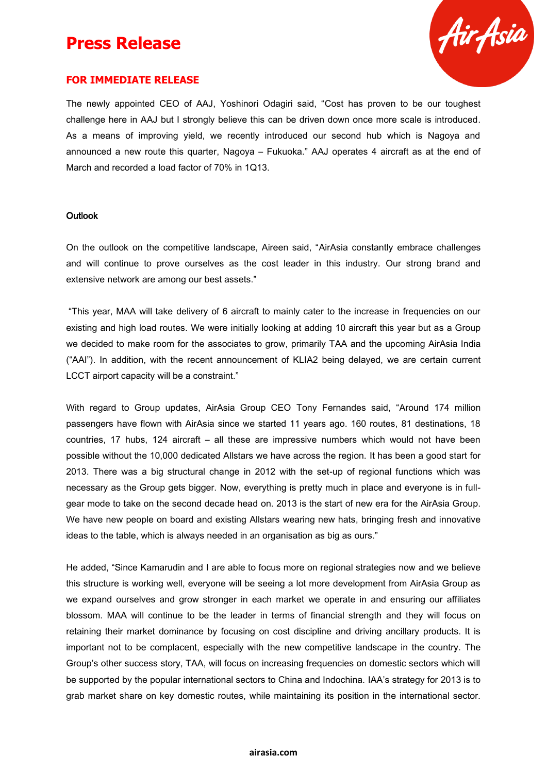

#### **FOR IMMEDIATE RELEASE**

The newly appointed CEO of AAJ, Yoshinori Odagiri said, "Cost has proven to be our toughest challenge here in AAJ but I strongly believe this can be driven down once more scale is introduced. As a means of improving yield, we recently introduced our second hub which is Nagoya and announced a new route this quarter, Nagoya – Fukuoka." AAJ operates 4 aircraft as at the end of March and recorded a load factor of 70% in 1Q13.

#### **Outlook**

On the outlook on the competitive landscape, Aireen said, "AirAsia constantly embrace challenges and will continue to prove ourselves as the cost leader in this industry. Our strong brand and extensive network are among our best assets."

"This year, MAA will take delivery of 6 aircraft to mainly cater to the increase in frequencies on our existing and high load routes. We were initially looking at adding 10 aircraft this year but as a Group we decided to make room for the associates to grow, primarily TAA and the upcoming AirAsia India ("AAI"). In addition, with the recent announcement of KLIA2 being delayed, we are certain current LCCT airport capacity will be a constraint."

With regard to Group updates, AirAsia Group CEO Tony Fernandes said, "Around 174 million passengers have flown with AirAsia since we started 11 years ago. 160 routes, 81 destinations, 18 countries, 17 hubs, 124 aircraft – all these are impressive numbers which would not have been possible without the 10,000 dedicated Allstars we have across the region. It has been a good start for 2013. There was a big structural change in 2012 with the set-up of regional functions which was necessary as the Group gets bigger. Now, everything is pretty much in place and everyone is in fullgear mode to take on the second decade head on. 2013 is the start of new era for the AirAsia Group. We have new people on board and existing Allstars wearing new hats, bringing fresh and innovative ideas to the table, which is always needed in an organisation as big as ours."

He added, "Since Kamarudin and I are able to focus more on regional strategies now and we believe this structure is working well, everyone will be seeing a lot more development from AirAsia Group as we expand ourselves and grow stronger in each market we operate in and ensuring our affiliates blossom. MAA will continue to be the leader in terms of financial strength and they will focus on retaining their market dominance by focusing on cost discipline and driving ancillary products. It is important not to be complacent, especially with the new competitive landscape in the country. The Group's other success story, TAA, will focus on increasing frequencies on domestic sectors which will be supported by the popular international sectors to China and Indochina. IAA's strategy for 2013 is to grab market share on key domestic routes, while maintaining its position in the international sector.

#### **airasia.com**